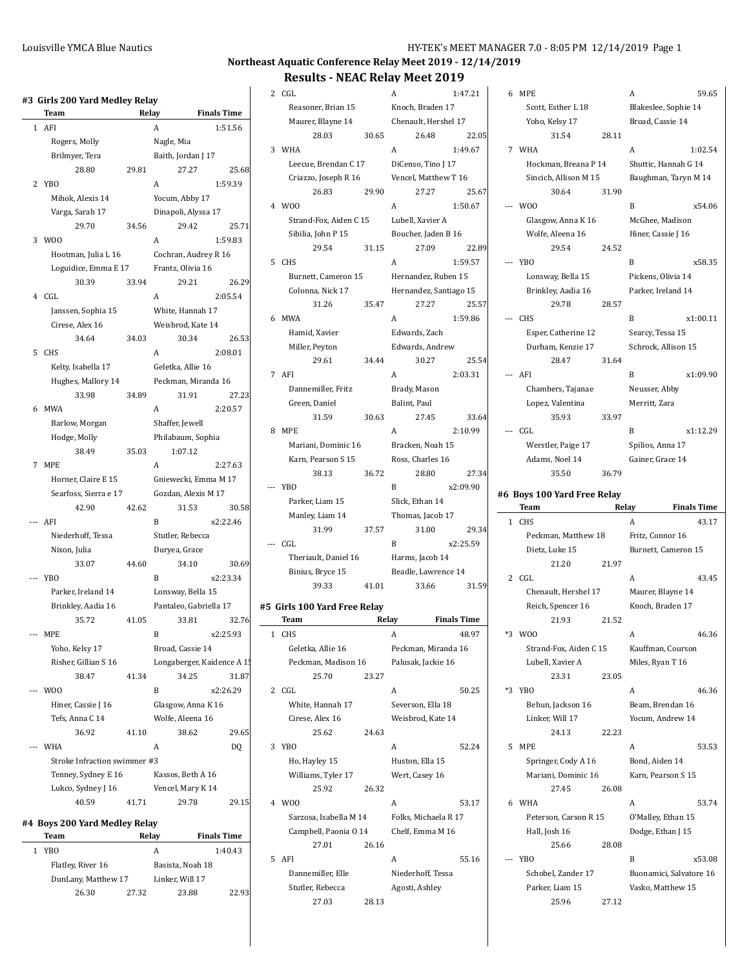|              | #3  Girls 200 Yard Medley Relay |       |                    |                            |                   |
|--------------|---------------------------------|-------|--------------------|----------------------------|-------------------|
|              | Team                            | Relay |                    | <b>Finals Time</b>         |                   |
| $\mathbf{1}$ | AFI                             |       | A                  |                            | 1:51.56           |
|              | Rogers, Molly                   |       | Nagle, Mia         |                            |                   |
|              | Brilmyer, Tera                  |       | Baith, Jordan J 17 |                            |                   |
|              | 28.80                           | 29.81 |                    | 27.27                      | 25.68             |
| 2            | <b>YBO</b>                      |       | A                  |                            | 1:59.39           |
|              | Mihok, Alexis 14                |       | Yocum, Abby 17     |                            |                   |
|              | Varga, Sarah 17                 |       |                    | Dinapoli, Alyssa 17        |                   |
|              | 29.70                           | 34.56 |                    | 29.42                      | 25.71             |
| 3            | W <sub>00</sub>                 |       | A                  |                            | 1:59.83           |
|              | Hootman, Julia L 16             |       |                    | Cochran, Audrey R 16       |                   |
|              | Loguidice, Emma E 17            |       | Frantz, Olivia 16  |                            |                   |
|              | 30.39                           | 33.94 |                    | 29.21                      | 26.29             |
| 4            | CGL                             |       | A                  |                            | 2:05.54           |
|              | Janssen, Sophia 15              |       | White, Hannah 17   |                            |                   |
|              | Cirese, Alex 16                 |       | Weisbrod, Kate 14  |                            |                   |
|              | 34.64                           | 34.03 |                    | 30.34                      | 26.53             |
| 5            | <b>CHS</b>                      |       | A                  |                            | 2:08.01           |
|              | Kelty, Isabella 17              |       | Geletka, Allie 16  |                            |                   |
|              | Hughes, Mallory 14              |       |                    | Peckman, Miranda 16        |                   |
|              | 33.98                           | 34.89 |                    | 31.91                      | 27.23             |
| 6            | MWA                             |       | A                  |                            | 2:20.57           |
|              | Barlow, Morgan                  |       | Shaffer, Jewell    |                            |                   |
|              | Hodge, Molly                    |       |                    | Philabaum, Sophia          |                   |
|              | 38.49                           | 35.03 | 1:07.12            |                            |                   |
| $7^{\circ}$  | <b>MPE</b>                      |       | A                  |                            | 2:27.63           |
|              | Horner, Claire E 15             |       |                    | Gniewecki, Emma M 17       |                   |
|              | Searfoss, Sierra e 17           |       |                    | Gozdan, Alexis M 17        |                   |
|              | 42.90<br>--- AFI                | 42.62 | B                  | 31.53                      | 30.58<br>x2:22.46 |
|              | Niederhoff, Tessa               |       | Stutler, Rebecca   |                            |                   |
|              | Nixon, Julia                    |       | Duryea, Grace      |                            |                   |
|              | 33.07                           | 44.60 |                    | 34.10                      | 30.69             |
|              | YB <sub>O</sub>                 |       | B                  |                            | x2:23.34          |
|              | Parker, Ireland 14              |       | Lonsway, Bella 15  |                            |                   |
|              | Brinkley, Aadia 16              |       |                    | Pantaleo, Gabriella 17     |                   |
|              | 35.72                           | 41.05 |                    | 33.81                      | 32.76             |
|              | MPE                             |       | R                  |                            | x2:25.93          |
|              | Yoho, Kelsy 17                  |       | Broad, Cassie 14   |                            |                   |
|              | Risher, Gillian S 16            |       |                    | Longaberger, Kaidence A 1! |                   |
|              | 38.47                           | 41.34 |                    | 34.25                      | 31.87             |
| $---$        | W <sub>00</sub>                 |       | B                  |                            | x2:26.29          |
|              | Hiner, Cassie J 16              |       |                    | Glasgow, Anna K 16         |                   |
|              | Tefs, Anna C 14                 |       | Wolfe, Aleena 16   |                            |                   |
|              | 36.92                           | 41.10 |                    | 38.62                      | 29.65             |
| $---$        | WHA                             |       | A                  |                            | DQ                |
|              | Stroke Infraction swimmer #3    |       |                    |                            |                   |
|              | Tenney, Sydney E 16             |       | Kassos, Beth A 16  |                            |                   |
|              | Lukco, Sydney J 16              |       | Vencel, Mary K 14  |                            |                   |
|              | 40.59                           | 41.71 |                    | 29.78                      | 29.15             |
|              | #4 Boys 200 Yard Medley Relay   |       |                    |                            |                   |
|              | Team                            |       | Relay              | <b>Finals Time</b>         |                   |
| 1            | YB <sub>O</sub>                 |       | А                  |                            | 1:40.43           |
|              | Flatley, River 16               |       | Basista, Noah 18   |                            |                   |

DunLany, Matthew 17 Linker, Will 17

26.30 27.32 23.88 22.93

| 4 | W00                          |       | A                      | 1:50.67            |
|---|------------------------------|-------|------------------------|--------------------|
|   | Strand-Fox, Aiden C 15       |       | Lubell, Xavier A       |                    |
|   | Sibilia, John P 15           |       | Boucher, Jaden B 16    |                    |
|   | 29.54                        | 31.15 | 27.09                  | 22.89              |
| 5 | <b>CHS</b>                   |       | A                      | 1:59.57            |
|   | Burnett, Cameron 15          |       | Hernandez, Ruben 15    |                    |
|   | Colonna, Nick 17             |       | Hernandez, Santiago 15 |                    |
|   | 31.26                        | 35.47 | 27.27                  | 25.57              |
| 6 | MWA                          |       | A                      | 1:59.86            |
|   | Hamid, Xavier                |       | Edwards, Zach          |                    |
|   | Miller, Peyton               |       | Edwards, Andrew        |                    |
|   | 29.61                        | 34.44 | 30.27                  | 25.54              |
|   | 7 AFI                        |       | A                      | 2:03.31            |
|   | Dannemiller, Fritz           |       | Brady, Mason           |                    |
|   | Green, Daniel                |       | Balint, Paul           |                    |
|   | 31.59                        | 30.63 | 27.45                  | 33.64              |
| 8 | MPE                          |       | A                      | 2:10.99            |
|   |                              |       |                        |                    |
|   | Mariani, Dominic 16          |       | Bracken, Noah 15       |                    |
|   | Karn, Pearson S 15           |       | Ross, Charles 16       |                    |
|   | 38.13                        | 36.72 | 28.80                  | 27.34              |
|   | --- YBO                      |       | B                      | x2:09.90           |
|   | Parker, Liam 15              |       | Slick, Ethan 14        |                    |
|   | Manley, Liam 14              |       | Thomas, Jacob 17       |                    |
|   | 31.99                        | 37.57 | 31.00                  | 29.34              |
|   | CGL                          |       | B                      | x2:25.59           |
|   | Theriault, Daniel 16         |       | Harms, Jacob 14        |                    |
|   | Binius, Bryce 15             |       | Beadle, Lawrence 14    |                    |
|   | 39.33                        | 41.01 | 33.66                  | 31.59              |
|   | #5 Girls 100 Yard Free Relay |       |                        |                    |
|   | Team                         |       | Relay                  | <b>Finals Time</b> |
| 1 | <b>CHS</b>                   |       | A                      | 48.97              |
|   | Geletka, Allie 16            |       | Peckman, Miranda 16    |                    |
|   | Peckman, Madison 16          |       | Palusak, Jackie 16     |                    |
|   | 25.70                        | 23.27 |                        |                    |
| 2 | CGL                          |       | A                      | 50.25              |
|   | White, Hannah 17             |       | Severson, Ella 18      |                    |
|   | Cirese, Alex 16              |       | Weisbrod, Kate 14      |                    |
|   | 25.62                        | 24.63 |                        |                    |
| 3 |                              |       |                        |                    |
|   | <b>YBO</b>                   |       | A                      | 52.24              |
|   |                              |       |                        |                    |
|   | Ho, Hayley 15                |       | Huston, Ella 15        |                    |
|   | Williams, Tyler 17           |       | Wert, Casey 16         |                    |
|   | 25.92                        | 26.32 |                        |                    |
| 4 | W <sub>0</sub>               |       | A                      | 53.17              |
|   | Sarzosa, Isabella M 14       |       | Folks, Michaela R 17   |                    |
|   | Campbell, Paonia O 14        |       | Chelf, Emma M 16       |                    |
|   | 27.01                        | 26.16 |                        |                    |
| 5 | AFI                          |       | A                      | 55.16              |
|   | Dannemiller, Elle            |       | Niederhoff, Tessa      |                    |
|   | Stutler, Rebecca<br>27.03    | 28.13 | Agosti, Ashley         |                    |

| 2 CGL                       |       | Α                      | 1:47.21            | 6 MPE   |                             |       | A                       | 59.65              |
|-----------------------------|-------|------------------------|--------------------|---------|-----------------------------|-------|-------------------------|--------------------|
| Reasoner, Brian 15          |       | Knoch, Braden 17       |                    |         | Scott, Esther L 18          |       | Blakeslee, Sophie 14    |                    |
| Maurer, Blayne 14           |       | Chenault, Hershel 17   |                    |         | Yoho, Kelsy 17              |       | Broad, Cassie 14        |                    |
| 28.03                       | 30.65 | 26.48                  | 22.05              |         | 31.54                       | 28.11 |                         |                    |
| 3 WHA                       |       | A                      | 1:49.67            | 7 WHA   |                             |       | A                       | 1:02.54            |
| Leecue, Brendan C 17        |       | DiCenso, Tino J 17     |                    |         | Hockman, Breana P 14        |       | Shuttic, Hannah G 14    |                    |
|                             |       |                        |                    |         |                             |       |                         |                    |
| Criazzo, Joseph R 16        |       | Vencel, Matthew T 16   |                    |         | Sincich, Allison M 15       |       | Baughman, Taryn M 14    |                    |
| 26.83                       | 29.90 | 27.27                  | 25.67              |         | 30.64                       | 31.90 |                         |                    |
| 4 W00                       |       | A                      | 1:50.67            | --- WOO |                             |       | B                       | x54.06             |
| Strand-Fox, Aiden C 15      |       | Lubell, Xavier A       |                    |         | Glasgow, Anna K 16          |       | McGhee, Madison         |                    |
| Sibilia, John P 15          |       | Boucher, Jaden B 16    |                    |         | Wolfe, Aleena 16            |       | Hiner, Cassie J 16      |                    |
| 29.54                       | 31.15 | 27.09                  | 22.89              |         | 29.54                       | 24.52 |                         |                    |
| 5 CHS                       |       | A                      | 1:59.57            | --- YBO |                             |       | B                       | x58.35             |
| Burnett, Cameron 15         |       | Hernandez, Ruben 15    |                    |         | Lonsway, Bella 15           |       | Pickens, Olivia 14      |                    |
| Colonna, Nick 17            |       | Hernandez, Santiago 15 |                    |         | Brinkley, Aadia 16          |       | Parker, Ireland 14      |                    |
|                             |       |                        |                    |         |                             |       |                         |                    |
| 31.26                       | 35.47 | 27.27                  | 25.57              |         | 29.78                       | 28.57 |                         |                    |
| 6 MWA                       |       | A                      | 1:59.86            | --- CHS |                             |       | B                       | x1:00.11           |
| Hamid, Xavier               |       | Edwards, Zach          |                    |         | Esper, Catherine 12         |       | Searcy, Tessa 15        |                    |
| Miller, Peyton              |       | Edwards, Andrew        |                    |         | Durham, Kenzie 17           |       | Schrock, Allison 15     |                    |
| 29.61                       | 34.44 | 30.27                  | 25.54              |         | 28.47                       | 31.64 |                         |                    |
| 7 AFI                       |       | A                      | 2:03.31            | --- AFI |                             |       | B                       | x1:09.90           |
| Dannemiller, Fritz          |       | Brady, Mason           |                    |         | Chambers, Tajanae           |       | Neusser, Abby           |                    |
| Green, Daniel               |       | Balint. Paul           |                    |         | Lopez, Valentina            |       | Merritt, Zara           |                    |
| 31.59                       | 30.63 | 27.45                  | 33.64              |         | 35.93                       | 33.97 |                         |                    |
|                             |       |                        |                    |         |                             |       |                         |                    |
| 8 MPE                       |       | A                      | 2:10.99            | --- CGL |                             |       | B                       | x1:12.29           |
| Mariani, Dominic 16         |       | Bracken, Noah 15       |                    |         | Werstler, Paige 17          |       | Spilios, Anna 17        |                    |
| Karn, Pearson S 15          |       | Ross, Charles 16       |                    |         | Adams, Noel 14              |       | Gainer, Grace 14        |                    |
| 38.13                       | 36.72 | 28.80                  | 27.34              |         | 35.50                       | 36.79 |                         |                    |
| --- YBO                     |       | B                      | x2:09.90           |         |                             |       |                         |                    |
|                             |       |                        |                    |         |                             |       |                         |                    |
| Parker, Liam 15             |       | Slick, Ethan 14        |                    |         | #6 Boys 100 Yard Free Relay |       |                         |                    |
| Manley, Liam 14             |       | Thomas, Jacob 17       |                    | Team    |                             | Relay |                         | <b>Finals Time</b> |
| 31.99                       | 37.57 | 31.00                  | 29.34              | 1 CHS   |                             |       | A                       | 43.17              |
| --- CGL                     |       | B                      | x2:25.59           |         | Peckman, Matthew 18         |       | Fritz, Connor 16        |                    |
|                             |       |                        |                    |         | Dietz, Luke 15              |       | Burnett, Cameron 15     |                    |
| Theriault, Daniel 16        |       | Harms, Jacob 14        |                    |         | 21.20                       | 21.97 |                         |                    |
| Binius, Bryce 15            |       | Beadle, Lawrence 14    |                    | 2 CGL   |                             |       | A                       | 43.45              |
| 39.33                       | 41.01 | 33.66                  | 31.59              |         | Chenault, Hershel 17        |       | Maurer, Blayne 14       |                    |
| 5 Girls 100 Yard Free Relay |       |                        |                    |         | Reich, Spencer 16           |       | Knoch, Braden 17        |                    |
| Team                        | Relay |                        | <b>Finals Time</b> |         | 21.93                       | 21.52 |                         |                    |
|                             |       |                        |                    |         |                             |       |                         |                    |
| 1 CHS                       |       | A                      | 48.97              | *3 WOO  |                             |       | A                       | 46.36              |
| Geletka, Allie 16           |       | Peckman, Miranda 16    |                    |         | Strand-Fox, Aiden C 15      |       | Kauffman, Courson       |                    |
| Peckman, Madison 16         |       | Palusak, Jackie 16     |                    |         | Lubell, Xavier A            |       | Miles, Ryan T 16        |                    |
| 25.70                       | 23.27 |                        |                    |         | 23.31                       | 23.05 |                         |                    |
| 2 CGL                       |       | A                      | 50.25              | *3 YBO  |                             |       | A                       | 46.36              |
| White, Hannah 17            |       | Severson, Ella 18      |                    |         | Behun, Jackson 16           |       | Beam, Brendan 16        |                    |
| Cirese, Alex 16             |       | Weisbrod, Kate 14      |                    |         | Linker, Will 17             |       | Yocum, Andrew 14        |                    |
| 25.62                       | 24.63 |                        |                    |         | 24.13                       | 22.23 |                         |                    |
| 3 YBO                       |       | A                      | 52.24              | 5 MPE   |                             |       | A                       | 53.53              |
| Ho, Hayley 15               |       | Huston, Ella 15        |                    |         | Springer, Cody A 16         |       | Bond, Aiden 14          |                    |
|                             |       |                        |                    |         |                             |       |                         |                    |
| Williams, Tyler 17          |       | Wert, Casey 16         |                    |         | Mariani, Dominic 16         |       | Karn, Pearson S 15      |                    |
| 25.92                       | 26.32 |                        |                    |         | 27.45                       | 26.08 |                         |                    |
| 4 W00                       |       | A                      | 53.17              | 6 WHA   |                             |       | A                       | 53.74              |
| Sarzosa, Isabella M 14      |       | Folks, Michaela R 17   |                    |         | Peterson, Carson R 15       |       | O'Malley, Ethan 15      |                    |
| Campbell, Paonia O 14       |       | Chelf, Emma M 16       |                    |         | Hall, Josh 16               |       | Dodge, Ethan J 15       |                    |
| 27.01                       | 26.16 |                        |                    |         | 25.66                       | 28.08 |                         |                    |
| 5 AFI                       |       | A                      | 55.16              | --- YBO |                             |       | B                       | x53.08             |
| Dannemiller, Elle           |       | Niederhoff, Tessa      |                    |         | Schobel, Zander 17          |       | Buonamici, Salvatore 16 |                    |
| Stutler, Rebecca            |       | Agosti, Ashley         |                    |         | Parker, Liam 15             |       | Vasko, Matthew 15       |                    |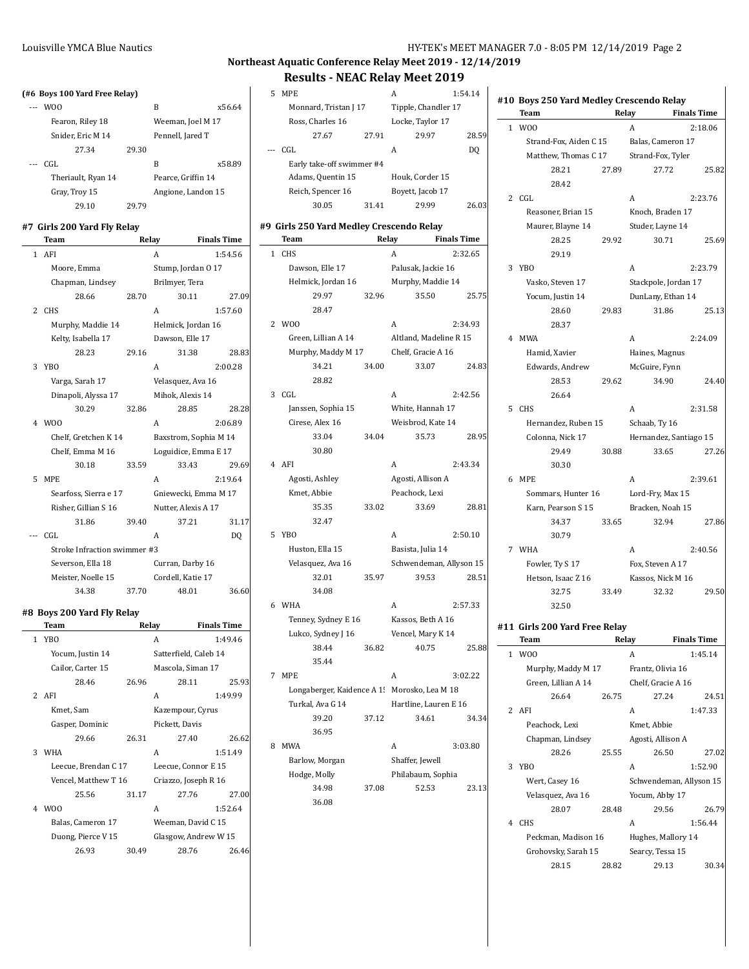|              | (#6 Boys 100 Yard Free Relay)       |       |                       |                    |
|--------------|-------------------------------------|-------|-----------------------|--------------------|
|              | W <sub>0</sub>                      |       | B                     | x56.64             |
|              | Fearon, Riley 18                    |       | Weeman, Joel M 17     |                    |
|              | Snider, Eric M 14                   |       | Pennell, Jared T      |                    |
|              | 27.34                               | 29.30 |                       |                    |
|              | CGL.                                |       | B                     | x58.89             |
|              | Theriault, Ryan 14                  |       | Pearce, Griffin 14    |                    |
|              | Gray, Troy 15                       |       | Angione, Landon 15    |                    |
|              | 29.10                               | 29.79 |                       |                    |
|              |                                     |       |                       |                    |
|              | #7 Girls 200 Yard Fly Relay<br>Team | Relay |                       | <b>Finals Time</b> |
| 1            | AFI                                 |       | A                     | 1:54.56            |
|              | Moore, Emma                         |       | Stump, Jordan O 17    |                    |
|              | Chapman, Lindsey                    |       | Brilmyer, Tera        |                    |
|              | 28.66                               | 28.70 | 30.11                 | 27.09              |
| 2            | <b>CHS</b>                          |       | A                     | 1:57.60            |
|              | Murphy, Maddie 14                   |       | Helmick, Jordan 16    |                    |
|              | Kelty, Isabella 17                  |       | Dawson, Elle 17       |                    |
|              | 28.23                               | 29.16 | 31.38                 | 28.83              |
| 3            | YBO                                 |       | А                     | 2:00.28            |
|              | Varga, Sarah 17                     |       | Velasquez, Ava 16     |                    |
|              | Dinapoli, Alyssa 17                 |       | Mihok, Alexis 14      |                    |
|              | 30.29                               | 32.86 | 28.85                 | 28.28              |
|              | 4 W <sub>00</sub>                   |       | A                     | 2:06.89            |
|              | Chelf, Gretchen K 14                |       | Baxstrom, Sophia M 14 |                    |
|              | Chelf, Emma M 16                    |       | Loguidice, Emma E 17  |                    |
|              | 30.18                               | 33.59 | 33.43                 | 29.69              |
| 5            | <b>MPE</b>                          |       | A                     | 2:19.64            |
|              | Searfoss, Sierra e 17               |       | Gniewecki, Emma M 17  |                    |
|              | Risher, Gillian S 16                |       | Nutter, Alexis A 17   |                    |
|              | 31.86                               | 39.40 | 37.21                 | 31.17              |
|              | --- CGL                             |       | А                     | DQ                 |
|              | Stroke Infraction swimmer #3        |       |                       |                    |
|              | Severson, Ella 18                   |       | Curran, Darby 16      |                    |
|              | Meister, Noelle 15                  |       | Cordell, Katie 17     |                    |
|              | 34.38                               | 37.70 | 48.01                 | 36.60              |
|              |                                     |       |                       |                    |
|              | #8 Boys 200 Yard Fly Relay<br>Team  | Relay |                       | <b>Finals Time</b> |
| $\mathbf{1}$ | <b>YBO</b>                          |       | A                     | 1:49.46            |
|              | Yocum, Justin 14                    |       | Satterfield, Caleb 14 |                    |
|              | Cailor, Carter 15                   |       | Mascola, Siman 17     |                    |
|              | 28.46                               | 26.96 | 28.11                 | 25.93              |
| 2            | AFI                                 |       | A                     | 1:49.99            |
|              | Kmet, Sam                           |       | Kazempour, Cyrus      |                    |
|              | Gasper, Dominic                     |       | Pickett, Davis        |                    |
|              | 29.66                               | 26.31 | 27.40                 | 26.62              |
| 3            | <b>WHA</b>                          |       | A                     | 1:51.49            |
|              | Leecue, Brendan C 17                |       | Leecue, Connor E 15   |                    |
|              | Vencel, Matthew T 16                |       | Criazzo, Joseph R 16  |                    |
|              | 25.56                               | 31.17 | 27.76                 | 27.00              |
| 4            | W <sub>00</sub>                     |       | A                     | 1:52.64            |
|              | Balas, Cameron 17                   |       | Weeman, David C 15    |                    |
|              | Duong, Pierce V 15                  |       | Glasgow, Andrew W 15  |                    |
|              | 26.93                               | 30.49 | 28.76                 | 26.46              |

|              | RESUILS - IVEAL REIAV MEEL 2019          |       |                                              |         |
|--------------|------------------------------------------|-------|----------------------------------------------|---------|
| 5            | MPE                                      |       | A                                            | 1:54.14 |
|              | Monnard, Tristan J 17                    |       | Tipple, Chandler 17                          |         |
|              | Ross, Charles 16                         |       | Locke, Taylor 17                             |         |
|              | 27.67                                    | 27.91 | 29.97                                        | 28.59   |
|              | CGL                                      |       | A                                            | DQ      |
|              | Early take-off swimmer #4                |       |                                              |         |
|              | Adams, Quentin 15                        |       | Houk, Corder 15                              |         |
|              | Reich, Spencer 16                        |       | Boyett, Jacob 17                             |         |
|              | 30.05                                    | 31.41 | 29.99                                        | 26.03   |
|              | #9 Girls 250 Yard Medley Crescendo Relay |       |                                              |         |
|              | Team                                     |       | Relay<br><b>Finals Time</b>                  |         |
| 1            | <b>CHS</b>                               |       | A                                            | 2:32.65 |
|              | Dawson, Elle 17                          |       | Palusak, Jackie 16                           |         |
|              | Helmick, Jordan 16                       |       | Murphy, Maddie 14                            |         |
|              | 29.97                                    | 32.96 | 35.50                                        | 25.75   |
|              | 28.47                                    |       |                                              |         |
| $\mathbf{2}$ | W <sub>00</sub>                          |       | A                                            | 2:34.93 |
|              | Green, Lillian A 14                      |       | Altland, Madeline R 15                       |         |
|              | Murphy, Maddy M 17                       |       | Chelf, Gracie A 16                           |         |
|              | 34.21                                    | 34.00 | 33.07                                        | 24.83   |
|              | 28.82                                    |       |                                              |         |
| 3            | CGL                                      |       | A                                            | 2:42.56 |
|              | Janssen, Sophia 15                       |       | White, Hannah 17                             |         |
|              | Cirese, Alex 16                          |       | Weisbrod, Kate 14                            |         |
|              | 33.04                                    | 34.04 | 35.73                                        | 28.95   |
|              | 30.80                                    |       |                                              |         |
|              | 4 AFI                                    |       | A                                            | 2:43.34 |
|              | Agosti, Ashley                           |       | Agosti, Allison A                            |         |
|              | Kmet, Abbie                              |       | Peachock, Lexi                               |         |
|              | 35.35                                    | 33.02 | 33.69                                        | 28.81   |
|              | 32.47                                    |       |                                              |         |
| 5            | YB <sub>O</sub>                          |       | A                                            | 2:50.10 |
|              | Huston, Ella 15                          |       | Basista, Julia 14<br>Schwendeman, Allyson 15 |         |
|              | Velasquez, Ava 16<br>32.01               | 35.97 | 39.53                                        | 28.51   |
|              | 34.08                                    |       |                                              |         |
| 6            | WHA                                      |       | A                                            | 2:57.33 |
|              | Tenney, Sydney E 16                      |       | Kassos, Beth A 16                            |         |
|              | Lukco, Sydney J 16                       |       | Vencel, Mary K 14                            |         |
|              | 38.44                                    | 36.82 | 40.75                                        | 25.88   |
|              | 35.44                                    |       |                                              |         |
| 7            | <b>MPE</b>                               |       | A                                            | 3:02.22 |
|              | Longaberger, Kaidence A 1!               |       | Morosko, Lea M 18                            |         |
|              | Turkal, Ava G 14                         |       | Hartline, Lauren E 16                        |         |
|              | 39.20                                    | 37.12 | 34.61                                        | 34.34   |
|              | 36.95                                    |       |                                              |         |
| 8            | <b>MWA</b>                               |       | A                                            | 3:03.80 |
|              | Barlow, Morgan                           |       | Shaffer, Jewell                              |         |
|              | Hodge, Molly                             |       | Philabaum, Sophia                            |         |
|              | 34.98                                    | 37.08 | 52.53                                        | 23.13   |
|              | 36.08                                    |       |                                              |         |

|              | #10 Boys 250 Yard Medley Crescendo Relay<br>Team |       | Relay                   | <b>Finals Time</b> |
|--------------|--------------------------------------------------|-------|-------------------------|--------------------|
| $\mathbf{1}$ | W <sub>0</sub>                                   |       | A                       | 2:18.06            |
|              | Strand-Fox, Aiden C 15                           |       | Balas, Cameron 17       |                    |
|              | Matthew, Thomas C 17                             |       | Strand-Fox, Tyler       |                    |
|              | 28.21                                            | 27.89 | 27.72                   | 25.82              |
|              | 28.42                                            |       |                         |                    |
|              | 2 CGL                                            |       | A                       | 2:23.76            |
|              | Reasoner, Brian 15                               |       | Knoch, Braden 17        |                    |
|              | Maurer, Blayne 14                                |       | Studer, Layne 14        |                    |
|              | 28.25                                            | 29.92 | 30.71                   | 25.69              |
|              | 29.19                                            |       |                         |                    |
|              | 3 YBO                                            |       | A                       | 2:23.79            |
|              |                                                  |       |                         |                    |
|              | Vasko, Steven 17                                 |       | Stackpole, Jordan 17    |                    |
|              | Yocum, Justin 14                                 |       | DunLany, Ethan 14       |                    |
|              | 28.60                                            | 29.83 | 31.86                   | 25.13              |
|              | 28.37                                            |       |                         |                    |
| 4            | MWA                                              |       | A                       | 2:24.09            |
|              | Hamid, Xavier                                    |       | Haines, Magnus          |                    |
|              | <b>Edwards</b> , Andrew                          |       | McGuire, Fynn           |                    |
|              | 28.53                                            | 29.62 | 34.90                   | 24.40              |
|              | 26.64                                            |       |                         |                    |
| 5            | <b>CHS</b>                                       |       | A                       | 2:31.58            |
|              | Hernandez, Ruben 15                              |       | Schaab, Ty 16           |                    |
|              | Colonna, Nick 17                                 |       | Hernandez, Santiago 15  |                    |
|              | 29.49                                            | 30.88 | 33.65                   | 27.26              |
|              | 30.30                                            |       |                         |                    |
| 6            | MPE                                              |       | A                       | 2:39.61            |
|              | Sommars, Hunter 16                               |       | Lord-Fry, Max 15        |                    |
|              | Karn, Pearson S 15                               |       | Bracken, Noah 15        |                    |
|              | 34.37                                            | 33.65 | 32.94                   | 27.86              |
|              | 30.79                                            |       |                         |                    |
|              | 7 WHA                                            |       | A                       | 2:40.56            |
|              | Fowler, Ty S 17                                  |       | Fox, Steven A 17        |                    |
|              |                                                  |       | Kassos, Nick M 16       |                    |
|              | Hetson, Isaac Z 16                               |       |                         |                    |
|              | 32.75                                            | 33.49 | 32.32                   | 29.50              |
|              | 32.50                                            |       |                         |                    |
|              | #11 Girls 200 Yard Free Relav                    |       |                         |                    |
|              | Team                                             |       | Relay                   | <b>Finals Time</b> |
| 1            | W <sub>0</sub>                                   |       | A                       | 1:45.14            |
|              | Murphy, Maddy M 17                               |       | Frantz, Olivia 16       |                    |
|              | Green, Lillian A 14                              |       | Chelf, Gracie A 16      |                    |
|              | 26.64                                            | 26.75 | 27.24                   | 24.51              |
| 2            | AFI                                              |       | A                       | 1:47.33            |
|              | Peachock, Lexi                                   |       | Kmet, Abbie             |                    |
|              | Chapman, Lindsey                                 |       | Agosti, Allison A       |                    |
|              | 28.26                                            |       | 26.50                   |                    |
|              |                                                  | 25.55 |                         | 27.02              |
| 3            | <b>YBO</b>                                       |       | A                       | 1:52.90            |
|              | Wert, Casey 16                                   |       | Schwendeman, Allyson 15 |                    |
|              | Velasquez, Ava 16                                |       | Yocum, Abby 17          |                    |
|              | 28.07                                            | 28.48 | 29.56                   | 26.79              |
| 4            | <b>CHS</b>                                       |       | A                       | 1:56.44            |
|              | Peckman, Madison 16                              |       | Hughes, Mallory 14      |                    |
|              | Grohovsky, Sarah 15                              |       | Searcy, Tessa 15        |                    |
|              | 28.15                                            | 28.82 | 29.13                   | 30.34              |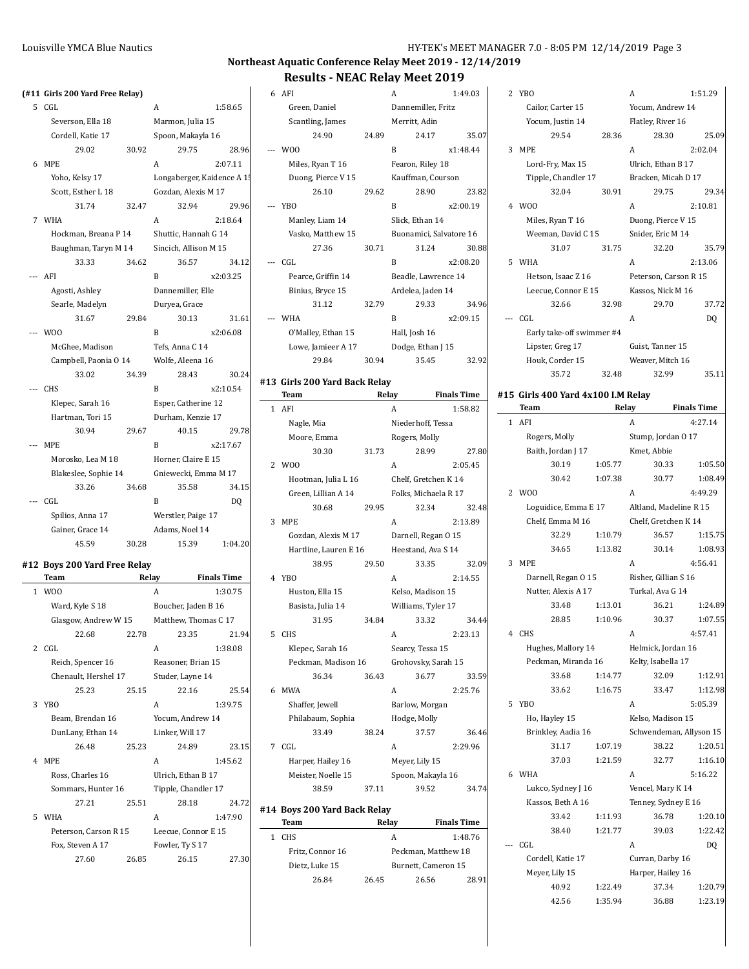|              | (#11 Girls 200 Yard Free Relay) |       |                            |                    |
|--------------|---------------------------------|-------|----------------------------|--------------------|
| 5            | CGL                             |       | A                          | 1:58.65            |
|              | Severson, Ella 18               |       | Marmon, Julia 15           |                    |
|              | Cordell, Katie 17               |       | Spoon, Makayla 16          |                    |
|              | 29.02                           | 30.92 | 29.75                      | 28.96              |
| 6            | <b>MPE</b>                      |       | A                          | 2:07.11            |
|              | Yoho, Kelsy 17                  |       | Longaberger, Kaidence A 1! |                    |
|              | Scott, Esther L 18              |       | Gozdan, Alexis M 17        |                    |
|              | 31.74                           | 32.47 | 32.94                      | 29.96              |
| 7            | WHA                             |       | A                          | 2:18.64            |
|              | Hockman, Breana P 14            |       | Shuttic, Hannah G 14       |                    |
|              | Baughman, Taryn M 14            |       | Sincich, Allison M 15      |                    |
|              | 33.33                           | 34.62 | 36.57                      | 34.12              |
|              | --- AFI                         |       | B                          | x2:03.25           |
|              | Agosti, Ashley                  |       | Dannemiller, Elle          |                    |
|              | Searle, Madelyn                 |       | Duryea, Grace              |                    |
|              | 31.67                           | 29.84 | 30.13                      | 31.61              |
|              | W <sub>00</sub>                 |       | B                          | x2:06.08           |
|              | McGhee, Madison                 |       | Tefs, Anna C 14            |                    |
|              | Campbell, Paonia O 14           |       | Wolfe, Aleena 16<br>28.43  | 30.24              |
|              | 33.02<br><b>CHS</b>             | 34.39 | B                          | x2:10.54           |
|              | Klepec, Sarah 16                |       | Esper, Catherine 12        |                    |
|              | Hartman, Tori 15                |       | Durham, Kenzie 17          |                    |
|              | 30.94                           | 29.67 | 40.15                      | 29.78              |
|              | --- MPE                         |       | B                          | x2:17.67           |
|              | Morosko, Lea M 18               |       | Horner, Claire E 15        |                    |
|              | Blakeslee, Sophie 14            |       | Gniewecki, Emma M 17       |                    |
|              | 33.26                           | 34.68 | 35.58                      | 34.15              |
|              | --- CGL                         |       | B                          | DQ                 |
|              | Spilios, Anna 17                |       | Werstler, Paige 17         |                    |
|              | Gainer, Grace 14                |       | Adams, Noel 14             |                    |
|              | 45.59                           | 30.28 | 15.39                      | 1:04.20            |
|              | #12 Boys 200 Yard Free Relay    |       |                            |                    |
|              | Team                            |       | Relay                      | <b>Finals Time</b> |
| $\mathbf{1}$ | W <sub>0</sub>                  |       | A                          | 1:30.75            |
|              | Ward, Kyle S 18                 |       | Boucher, Jaden B 16        |                    |
|              | Glasgow, Andrew W 15            |       | Matthew, Thomas C 17       |                    |
|              | 22.68                           | 22.78 | 23.35                      | 21.94              |
| 2            | CGL                             |       | A                          | 1:38.08            |
|              | Reich, Spencer 16               |       | Reasoner, Brian 15         |                    |
|              | Chenault, Hershel 17            |       | Studer, Layne 14           |                    |
|              | 25.23                           | 25.15 | 22.16                      | 25.54              |
| 3            | YB <sub>0</sub>                 |       | A                          | 1:39.75            |
|              | Beam, Brendan 16                |       | Yocum, Andrew 14           |                    |
|              | DunLany, Ethan 14               |       | Linker, Will 17            |                    |
|              | 26.48                           | 25.23 | 24.89                      | 23.15              |
| 4            | <b>MPE</b>                      |       | A                          | 1:45.62            |
|              | Ross, Charles 16                |       | Ulrich, Ethan B 17         |                    |
|              | Sommars, Hunter 16              |       | Tipple, Chandler 17        |                    |
|              | 27.21                           | 25.51 | 28.18                      | 24.72              |
| 5            | <b>WHA</b>                      |       | A                          | 1:47.90            |
|              | Peterson, Carson R 15           |       | Leecue, Connor E 15        |                    |
|              |                                 |       |                            |                    |
|              | Fox, Steven A 17<br>27.60       | 26.85 | Fowler, Ty S 17<br>26.15   | 27.30              |

| 6 AFI                         |       | A                       | 1:49.03  |
|-------------------------------|-------|-------------------------|----------|
| Green, Daniel                 |       | Dannemiller, Fritz      |          |
| Scantling, James              |       | Merritt, Adin           |          |
| 24.90                         | 24.89 | 24.17                   | 35.07    |
| W <sub>00</sub>               |       | B                       | x1.48.44 |
| Miles, Ryan T 16              |       | Fearon, Riley 18        |          |
| Duong, Pierce V 15            |       | Kauffman, Courson       |          |
| 26.10                         | 29.62 | 28.90                   | 23.82    |
| <b>YBO</b>                    |       | B                       | x2:00.19 |
| Manley, Liam 14               |       | Slick, Ethan 14         |          |
| Vasko, Matthew 15             |       | Buonamici, Salvatore 16 |          |
| 27.36                         | 30.71 | 31.24                   | 30.88    |
| CGL.                          |       | B                       | x2:08.20 |
| Pearce, Griffin 14            |       | Beadle, Lawrence 14     |          |
| Binius, Bryce 15              |       | Ardelea, Jaden 14       |          |
| 31.12                         | 32.79 | 29.33                   | 34.96    |
| <b>WHA</b>                    |       | B                       | x2:09.15 |
| O'Malley, Ethan 15            |       | Hall, Josh 16           |          |
| Lowe, Jamieer A 17            |       | Dodge, Ethan J 15       |          |
| 29.84                         | 30.94 | 35.45                   | 32.92    |
| #13 Girls 200 Yard Back Relay |       |                         |          |

|   | Team                  | Relay |                      | <b>Finals Time</b> |
|---|-----------------------|-------|----------------------|--------------------|
| 1 | AFI                   |       | A                    | 1:58.82            |
|   | Nagle, Mia            |       | Niederhoff, Tessa    |                    |
|   | Moore, Emma           |       | Rogers, Molly        |                    |
|   | 30.30                 | 31.73 | 28.99                | 27.80              |
| 2 | W <sub>00</sub>       |       | A                    | 2:05.45            |
|   | Hootman, Julia L 16   |       | Chelf, Gretchen K 14 |                    |
|   | Green, Lillian A 14   |       | Folks, Michaela R 17 |                    |
|   | 30.68                 | 29.95 | 32.34                | 32.48              |
| 3 | <b>MPE</b>            |       | A                    | 2:13.89            |
|   | Gozdan, Alexis M 17   |       | Darnell, Regan 0 15  |                    |
|   | Hartline, Lauren E 16 |       | Heestand, Ava S 14   |                    |
|   | 38.95                 | 29.50 | 33.35                | 32.09              |
| 4 | YB <sub>0</sub>       |       | A                    | 2:14.55            |
|   | Huston, Ella 15       |       | Kelso, Madison 15    |                    |
|   | Basista, Julia 14     |       | Williams, Tyler 17   |                    |
|   | 31.95                 | 34.84 | 33.32                | 34.44              |
| 5 | <b>CHS</b>            |       | A                    | 2:23.13            |
|   | Klepec, Sarah 16      |       | Searcy, Tessa 15     |                    |
|   | Peckman, Madison 16   |       | Grohovsky, Sarah 15  |                    |
|   | 36.34                 | 36.43 | 36.77                | 33.59              |
| 6 | <b>MWA</b>            |       | A                    | 2:25.76            |
|   | Shaffer, Jewell       |       | Barlow, Morgan       |                    |
|   | Philabaum, Sophia     |       | Hodge, Molly         |                    |
|   | 33.49                 | 38.24 | 37.57                | 36.46              |
| 7 | CGL.                  |       | А                    | 2:29.96            |
|   | Harper, Hailey 16     |       | Meyer, Lily 15       |                    |
|   | Meister, Noelle 15    |       | Spoon, Makayla 16    |                    |
|   | 38.59                 | 37.11 | 39.52                | 34.74              |
|   |                       |       |                      |                    |

### **#14 Boys 200 Yard Back Relay**

| Team             | Relay               | <b>Finals Time</b>  |  |  |
|------------------|---------------------|---------------------|--|--|
| <b>CHS</b>       | А                   | 1:48.76             |  |  |
| Fritz, Connor 16 | Peckman, Matthew 18 |                     |  |  |
| Dietz, Luke 15   |                     | Burnett, Cameron 15 |  |  |
| 26.84            | 26.45               | 2891<br>26.56       |  |  |
|                  |                     |                     |  |  |

|   | 2 YBO                     |       | A                     | 1:51.29        |
|---|---------------------------|-------|-----------------------|----------------|
|   | Cailor, Carter 15         |       | Yocum, Andrew 14      |                |
|   | Yocum, Justin 14          |       | Flatley, River 16     |                |
|   | 29.54                     | 28.36 | 28.30                 | 25.09          |
| 3 | <b>MPE</b>                |       | A                     | 2:02.04        |
|   | Lord-Fry, Max 15          |       | Ulrich, Ethan B 17    |                |
|   | Tipple, Chandler 17       |       | Bracken, Micah D 17   |                |
|   | 32.04                     | 30.91 | 29.75                 | 29.34          |
|   | 4 W <sub>00</sub>         |       | A                     | 2:10.81        |
|   | Miles, Ryan T 16          |       | Duong, Pierce V 15    |                |
|   | Weeman, David C 15        |       | Snider, Eric M 14     |                |
|   | 31.07                     | 31.75 | 32.20                 | 35.79          |
| 5 | WHA                       |       | A                     | 2:13.06        |
|   | Hetson, Isaac Z 16        |       | Peterson, Carson R 15 |                |
|   | Leecue, Connor E 15       |       | Kassos, Nick M 16     |                |
|   | 32.66                     | 32.98 | 29.70                 | 37.72          |
|   | CGL                       |       | A                     | D <sub>0</sub> |
|   | Early take-off swimmer #4 |       |                       |                |
|   | Lipster, Greg 17          |       | Guist, Tanner 15      |                |
|   | Houk, Corder 15           |       | Weaver, Mitch 16      |                |
|   | 35.72                     | 32.48 | 32.99                 | 35.11          |
|   |                           |       |                       |                |

### **#15 Girls 400 Yard 4x100 I.M Relay**

|              | Team       |                      |         | Relay |                         | <b>Finals Time</b> |  |
|--------------|------------|----------------------|---------|-------|-------------------------|--------------------|--|
| $\mathbf{1}$ | AFI        |                      |         | А     |                         | 4:27.14            |  |
|              |            | Rogers, Molly        |         |       | Stump, Jordan O 17      |                    |  |
|              |            | Baith, Jordan J 17   |         |       | Kmet, Abbie             |                    |  |
|              |            | 30.19                | 1:05.77 |       | 30.33                   | 1:05.50            |  |
|              |            | 30.42                | 1:07.38 |       | 30.77                   | 1:08.49            |  |
|              | 2 WOO      |                      |         | A     |                         | 4:49.29            |  |
|              |            | Loguidice, Emma E 17 |         |       | Altland, Madeline R 15  |                    |  |
|              |            | Chelf, Emma M 16     |         |       | Chelf, Gretchen K 14    |                    |  |
|              |            | 32.29                | 1:10.79 |       | 36.57                   | 1:15.75            |  |
|              |            | 34.65                | 1:13.82 |       | 30.14                   | 1:08.93            |  |
| 3            | <b>MPE</b> |                      |         | A     |                         | 4:56.41            |  |
|              |            | Darnell, Regan 0 15  |         |       | Risher, Gillian S 16    |                    |  |
|              |            | Nutter, Alexis A 17  |         |       | Turkal, Ava G 14        |                    |  |
|              |            | 33.48                | 1:13.01 |       | 36.21                   | 1:24.89            |  |
|              |            | 28.85                | 1:10.96 |       | 30.37                   | 1:07.55            |  |
| 4            | <b>CHS</b> |                      |         | Α     |                         | 4:57.41            |  |
|              |            | Hughes, Mallory 14   |         |       | Helmick, Jordan 16      |                    |  |
|              |            | Peckman, Miranda 16  |         |       | Kelty, Isabella 17      |                    |  |
|              |            | 33.68                | 1:14.77 |       | 32.09                   | 1:12.91            |  |
|              |            | 33.62                | 1:16.75 |       | 33.47                   | 1:12.98            |  |
| 5            | <b>YBO</b> |                      |         | A     |                         | 5:05.39            |  |
|              |            | Ho, Hayley 15        |         |       | Kelso, Madison 15       |                    |  |
|              |            | Brinkley, Aadia 16   |         |       | Schwendeman, Allyson 15 |                    |  |
|              |            | 31.17                | 1:07.19 |       | 38.22                   | 1:20.51            |  |
|              |            | 37.03                | 1:21.59 |       | 32.77                   | 1:16.10            |  |
|              | 6 WHA      |                      |         | A     |                         | 5:16.22            |  |
|              |            | Lukco, Sydney J 16   |         |       | Vencel, Mary K 14       |                    |  |
|              |            | Kassos, Beth A 16    |         |       | Tenney, Sydney E 16     |                    |  |
|              |            | 33.42                | 1:11.93 |       | 36.78                   | 1:20.10            |  |
|              |            | 38.40                | 1:21.77 |       | 39.03                   | 1:22.42            |  |
|              | CGL        |                      |         | Α     |                         | DQ                 |  |
|              |            | Cordell, Katie 17    |         |       | Curran, Darby 16        |                    |  |
|              |            | Meyer, Lily 15       |         |       | Harper, Hailey 16       |                    |  |
|              |            | 40.92                | 1:22.49 |       | 37.34                   | 1:20.79            |  |
|              |            | 42.56                | 1:35.94 |       | 36.88                   | 1:23.19            |  |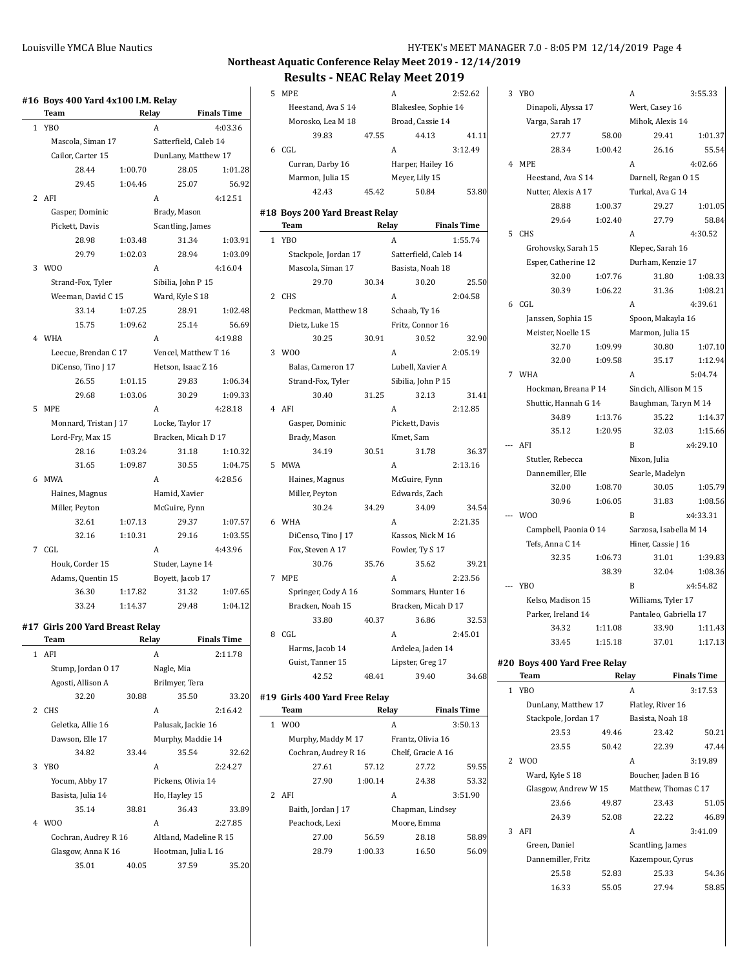# **Northeast Aquatic Conference Relay Meet 2019 - 12/14/2019**

# **Results - NEAC Relay Meet 2019**

 $\overline{\phantom{a}}$ 

|              | #16 Boys 400 Yard 4x100 I.M. Relay |         |                  |                        |                    |
|--------------|------------------------------------|---------|------------------|------------------------|--------------------|
|              | Team                               |         | Relay            |                        | <b>Finals Time</b> |
| $\mathbf{1}$ | YB <sub>0</sub>                    |         | A                |                        | 4:03.36            |
|              | Mascola, Siman 17                  |         |                  | Satterfield, Caleb 14  |                    |
|              | Cailor, Carter 15                  |         |                  | DunLany, Matthew 17    |                    |
|              | 28.44                              | 1:00.70 |                  | 28.05                  | 1:01.28            |
|              | 29.45                              | 1:04.46 |                  | 25.07                  | 56.92              |
|              | 2 AFI                              |         | A                |                        | 4:12.51            |
|              | Gasper, Dominic                    |         | Brady, Mason     |                        |                    |
|              | Pickett, Davis                     |         |                  | Scantling, James       |                    |
|              | 28.98                              | 1:03.48 |                  | 31.34                  | 1:03.91            |
|              | 29.79                              | 1:02.03 |                  | 28.94                  | 1:03.09            |
| 3            | W00                                |         | A                |                        | 4:16.04            |
|              | Strand-Fox, Tyler                  |         |                  | Sibilia, John P 15     |                    |
|              | Weeman, David C 15                 |         | Ward, Kyle S 18  |                        |                    |
|              | 33.14                              | 1:07.25 |                  | 28.91                  | 1:02.48            |
|              | 15.75                              | 1:09.62 |                  | 25.14                  | 56.69              |
|              | 4 WHA                              |         | A                |                        | 4:19.88            |
|              | Leecue, Brendan C 17               |         |                  | Vencel, Matthew T 16   |                    |
|              | DiCenso, Tino J 17                 |         |                  | Hetson, Isaac Z 16     |                    |
|              | 26.55                              | 1:01.15 |                  | 29.83                  | 1:06.34            |
|              | 29.68                              | 1:03.06 |                  | 30.29                  | 1:09.33            |
| 5            | <b>MPE</b>                         |         | A                |                        | 4:28.18            |
|              | Monnard, Tristan J 17              |         |                  | Locke, Taylor 17       |                    |
|              | Lord-Fry, Max 15                   |         |                  | Bracken, Micah D 17    |                    |
|              | 28.16                              | 1:03.24 |                  | 31.18                  | 1:10.32            |
|              | 31.65                              | 1:09.87 |                  | 30.55                  | 1:04.75            |
|              | 6 MWA                              |         | A                |                        | 4:28.56            |
|              | Haines, Magnus                     |         | Hamid, Xavier    |                        |                    |
|              | Miller, Peyton                     |         | McGuire, Fynn    |                        |                    |
|              | 32.61                              | 1:07.13 |                  | 29.37                  | 1:07.57            |
|              | 32.16                              | 1:10.31 |                  | 29.16                  | 1:03.55            |
| $7^{\circ}$  | CGL                                |         | A                |                        | 4:43.96            |
|              | Houk, Corder 15                    |         |                  | Studer, Layne 14       |                    |
|              | Adams, Quentin 15                  |         | Boyett, Jacob 17 |                        |                    |
|              | 36.30                              | 1:17.82 |                  | 31.32                  | 1:07.65            |
|              | 33.24                              | 1:14.37 |                  | 29.48                  | 1:04.12            |
|              |                                    |         |                  |                        |                    |
|              | #17 Girls 200 Yard Breast Relay    |         |                  |                        |                    |
|              | Team                               |         | Relay            |                        | <b>Finals Time</b> |
| 1            | AFI                                |         | A                |                        | 2:11.78            |
|              | Stump, Jordan 0 17                 |         | Nagle, Mia       |                        |                    |
|              | Agosti, Allison A                  |         | Brilmyer, Tera   |                        |                    |
|              | 32.20                              | 30.88   |                  | 35.50                  | 33.20              |
| 2            | CHS                                |         | A                |                        | 2:16.42            |
|              | Geletka, Allie 16                  |         |                  | Palusak, Jackie 16     |                    |
|              | Dawson, Elle 17                    |         |                  | Murphy, Maddie 14      |                    |
|              | 34.82                              | 33.44   |                  | 35.54                  | 32.62              |
| 3            | YB <sub>O</sub>                    |         | A                |                        | 2:24.27            |
|              | Yocum, Abby 17                     |         |                  | Pickens, Olivia 14     |                    |
|              | Basista, Julia 14                  |         | Ho, Hayley 15    |                        |                    |
|              | 35.14                              | 38.81   |                  | 36.43                  | 33.89              |
| 4            | W <sub>00</sub>                    |         | A                |                        | 2:27.85            |
|              | Cochran, Audrey R 16               |         |                  | Altland, Madeline R 15 |                    |
|              | Glasgow, Anna K 16                 |         |                  | Hootman, Julia L 16    |                    |
|              | 35.01                              | 40.05   |                  | 37.59                  | 35.20              |

|              | #19 Girls 400 Yard Free Relay<br><b>Team</b> |       | Relay                 | <b>Finals Time</b> |
|--------------|----------------------------------------------|-------|-----------------------|--------------------|
|              | 42.52                                        | 48.41 | 39.40                 | 34.68              |
|              | Guist, Tanner 15                             |       | Lipster, Greg 17      |                    |
|              | Harms, Jacob 14                              |       | Ardelea, Jaden 14     |                    |
|              | 8 CGL                                        |       | A                     | 2:45.01            |
|              | 33.80                                        | 40.37 | 36.86                 | 32.53              |
|              | Bracken, Noah 15                             |       | Bracken, Micah D 17   |                    |
|              | Springer, Cody A 16                          |       | Sommars, Hunter 16    |                    |
|              | 7 MPE                                        |       | A                     | 2:23.56            |
|              | 30.76                                        | 35.76 | 35.62                 | 39.21              |
|              | Fox, Steven A 17                             |       | Fowler, Ty S 17       |                    |
|              | DiCenso, Tino J 17                           |       | Kassos, Nick M 16     |                    |
|              | 6 WHA                                        |       | A                     | 2:21.35            |
|              | 30.24                                        | 34.29 | 34.09                 | 34.54              |
|              | Miller, Peyton                               |       | Edwards, Zach         |                    |
|              | Haines, Magnus                               |       | McGuire, Fynn         |                    |
|              | 5 MWA                                        |       | A                     | 2:13.16            |
|              | 34.19                                        | 30.51 | 31.78                 | 36.37              |
|              | Brady, Mason                                 |       | Kmet, Sam             |                    |
|              | Gasper, Dominic                              |       | Pickett, Davis        |                    |
|              | 4 AFI                                        |       | A                     | 2:12.85            |
|              | 30.40                                        | 31.25 | 32.13                 | 31.41              |
|              | Strand-Fox, Tyler                            |       | Sibilia, John P 15    |                    |
|              | Balas, Cameron 17                            |       | Lubell, Xavier A      |                    |
|              | 3 WOO                                        |       | A                     | 2:05.19            |
|              | 30.25                                        | 30.91 | 30.52                 | 32.90              |
|              | Dietz, Luke 15                               |       | Fritz, Connor 16      |                    |
|              | Peckman, Matthew 18                          |       | Schaab, Ty 16         |                    |
|              | 2 CHS                                        |       | A                     | 2:04.58            |
|              | 29.70                                        | 30.34 | 30.20                 | 25.50              |
|              | Mascola, Siman 17                            |       | Basista, Noah 18      |                    |
|              | Stackpole, Jordan 17                         |       | Satterfield, Caleb 14 |                    |
| $\mathbf{1}$ | <b>YBO</b>                                   |       | A                     | 1:55.74            |
|              | <b>Team</b>                                  |       | Relay Finals Time     |                    |
|              | #18 Boys 200 Yard Breast Relay               |       |                       |                    |
|              | 42.43                                        | 45.42 | 50.84                 | 53.80              |
|              | Marmon, Julia 15                             |       | Meyer, Lily 15        |                    |
|              | Curran, Darby 16                             |       | Harper, Hailey 16     |                    |
|              | 6 CGL                                        |       | A                     | 3:12.49            |
|              | 39.83                                        | 47.55 | 44.13                 | 41.11              |
|              | Morosko, Lea M 18                            |       | Broad, Cassie 14      |                    |
|              | Heestand, Ava S 14                           |       | Blakeslee, Sophie 14  |                    |
| 5            | <b>MPE</b>                                   |       | A                     | 2:52.62            |
|              |                                              |       |                       |                    |

|   | теанн           |                      | reiav   |                    | гшать типе |
|---|-----------------|----------------------|---------|--------------------|------------|
| 1 | W <sub>00</sub> |                      |         | A                  | 3:50.13    |
|   |                 | Murphy, Maddy M 17   |         | Frantz, Olivia 16  |            |
|   |                 | Cochran, Audrey R 16 |         | Chelf, Gracie A 16 |            |
|   |                 | 27.61                | 57.12   | 27.72              | 59.55      |
|   |                 | 27.90                | 1:00.14 | 24.38              | 53.32      |
|   | 2 AFI           |                      |         | A                  | 3:51.90    |
|   |                 | Baith, Jordan J 17   |         | Chapman, Lindsey   |            |
|   |                 | Peachock, Lexi       |         | Moore, Emma        |            |
|   |                 | 27.00                | 56.59   | 28.18              | 58.89      |
|   |                 | 28.79                | 1:00.33 | 16.50              | 56.09      |
|   |                 |                      |         |                    |            |

|       | 3 YBO                                       |         | A                      | 3:55.33            |  |
|-------|---------------------------------------------|---------|------------------------|--------------------|--|
|       | Dinapoli, Alyssa 17                         |         | Wert, Casey 16         |                    |  |
|       | Varga, Sarah 17                             |         | Mihok, Alexis 14       |                    |  |
|       | 27.77                                       | 58.00   | 29.41                  | 1:01.37            |  |
|       | 28.34                                       | 1:00.42 | 26.16                  | 55.54              |  |
| 4     | MPE                                         |         | Α                      | 4:02.66            |  |
|       | Heestand, Ava S 14                          |         | Darnell, Regan O 15    |                    |  |
|       | Nutter, Alexis A 17                         |         | Turkal, Ava G 14       |                    |  |
|       | 28.88                                       | 1:00.37 | 29.27                  | 1:01.05            |  |
|       | 29.64                                       | 1:02.40 | 27.79                  | 58.84              |  |
| 5     | CHS                                         |         | Α                      | 4:30.52            |  |
|       | Grohovsky, Sarah 15                         |         | Klepec, Sarah 16       |                    |  |
|       | Esper, Catherine 12                         |         | Durham, Kenzie 17      |                    |  |
|       | 32.00                                       | 1:07.76 | 31.80                  | 1:08.33            |  |
|       | 30.39                                       | 1:06.22 | 31.36                  | 1:08.21            |  |
| 6     | CGL                                         |         | Α                      | 4:39.61            |  |
|       | Janssen, Sophia 15                          |         | Spoon, Makayla 16      |                    |  |
|       | Meister, Noelle 15                          |         | Marmon, Julia 15       |                    |  |
|       | 32.70                                       | 1:09.99 | 30.80                  | 1:07.10            |  |
|       | 32.00                                       | 1:09.58 | 35.17                  | 1:12.94            |  |
|       | 7 WHA                                       |         | Α                      | 5:04.74            |  |
|       | Hockman, Breana P 14                        |         | Sincich, Allison M 15  |                    |  |
|       | Shuttic, Hannah G 14                        |         | Baughman, Taryn M 14   |                    |  |
|       | 34.89                                       | 1:13.76 | 35.22                  | 1:14.37            |  |
|       | 35.12                                       | 1:20.95 | 32.03                  | 1:15.66            |  |
|       | --- AFI                                     |         | B                      | x4:29.10           |  |
|       | Stutler, Rebecca                            |         | Nixon, Julia           |                    |  |
|       | Dannemiller, Elle                           |         | Searle, Madelyn        |                    |  |
|       | 32.00                                       | 1:08.70 | 30.05                  | 1:05.79<br>1:08.56 |  |
|       | 30.96<br>W <sub>0</sub>                     | 1:06.05 | 31.83<br>B             | x4:33.31           |  |
|       | Campbell, Paonia O 14                       |         | Sarzosa, Isabella M 14 |                    |  |
|       | Tefs, Anna C 14                             |         | Hiner, Cassie J 16     |                    |  |
|       | 32.35                                       | 1:06.73 | 31.01                  | 1:39.83            |  |
|       |                                             | 38.39   | 32.04                  | 1:08.36            |  |
| $---$ | <b>YBO</b>                                  |         | B                      | x4:54.82           |  |
|       | Kelso, Madison 15                           |         | Williams, Tyler 17     |                    |  |
|       | Parker, Ireland 14                          |         | Pantaleo, Gabriella 17 |                    |  |
|       | 34.32                                       | 1:11.08 | 33.90                  | 1:11.43            |  |
|       | 33.45                                       | 1:15.18 | 37.01                  | 1:17.13            |  |
|       |                                             |         |                        |                    |  |
|       | #20 Boys 400 Yard Free Relay<br><b>Team</b> | Relay   |                        | <b>Finals Time</b> |  |
| 1     | YB <sub>0</sub>                             |         | A                      | 3:17.53            |  |
|       | DunLany, Matthew 17                         |         | Flatley, River 16      |                    |  |
|       | Stackpole, Jordan 17                        |         | Basista, Noah 18       |                    |  |
|       | 23.53                                       | 49.46   | 23.42                  | 50.21              |  |
|       | 23.55                                       | 50.42   | 22.39                  | 47.44              |  |
| 2     | W <sub>0</sub>                              |         | A                      | 3:19.89            |  |
|       | Ward, Kyle S 18                             |         | Boucher, Jaden B 16    |                    |  |
|       |                                             |         |                        |                    |  |

Glasgow, Andrew W 15 Matthew, Thomas C 17 23.66 49.87 23.43 51.05 24.39 52.08 22.22 46.89

3 AFI A 3:41.09 Green, Daniel Scantling, James Dannemiller, Fritz Kazempour, Cyrus

> 25.58 52.83 25.33 54.36 16.33 55.05 27.94 58.85